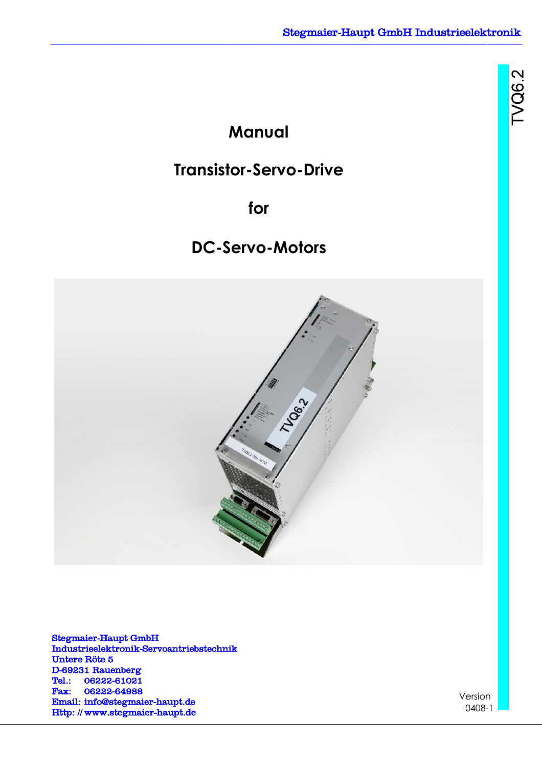TVQ62

**Manual**

# **Transistor-Servo-Drive**

**for**

# **DC-Servo-Motors**



Stegmaier-Haupt GmbH Industrieelektronik-Servoantriebstechnik Untere Röte 5 D-69231 Rauenberg Tel.: 06222-61021 Fax: 06222-64988 Email: [info@stegmaier-haupt.de](mailto:info@stegmaier-haupt.de) Http: // [www.stegmaier-haupt.de](http://www.stegmaier-haupt.de/)

Version 0408-1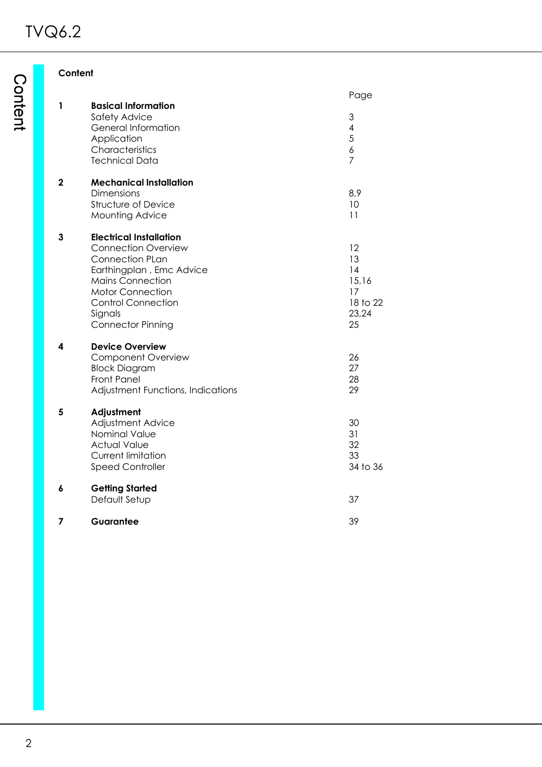**Content**

|             |                                                                                                                                                                                                                                              | Page                                                     |
|-------------|----------------------------------------------------------------------------------------------------------------------------------------------------------------------------------------------------------------------------------------------|----------------------------------------------------------|
| 1           | <b>Basical Information</b><br>Safety Advice<br>General Information<br>Application<br>Characteristics<br><b>Technical Data</b>                                                                                                                | 3<br>4<br>5<br>6<br>$\overline{7}$                       |
| $\mathbf 2$ | <b>Mechanical Installation</b><br><b>Dimensions</b><br>Structure of Device<br>Mounting Advice                                                                                                                                                | 8,9<br>10<br>11                                          |
| 3           | <b>Electrical Installation</b><br><b>Connection Overview</b><br><b>Connection PLan</b><br>Earthingplan, Emc Advice<br><b>Mains Connection</b><br><b>Motor Connection</b><br><b>Control Connection</b><br>Signals<br><b>Connector Pinning</b> | 12<br>13<br>14<br>15,16<br>17<br>18 to 22<br>23,24<br>25 |
| 4           | <b>Device Overview</b><br><b>Component Overview</b><br><b>Block Diagram</b><br><b>Front Panel</b><br>Adjustment Functions, Indications                                                                                                       | 26<br>27<br>28<br>29                                     |
| 5           | Adjustment<br><b>Adjustment Advice</b><br>Nominal Value<br><b>Actual Value</b><br><b>Current limitation</b><br><b>Speed Controller</b>                                                                                                       | 30<br>31<br>32<br>33<br>34 to 36                         |
| 6           | <b>Getting Started</b><br>Default Setup                                                                                                                                                                                                      | 37                                                       |
| 7           | Guarantee                                                                                                                                                                                                                                    | 39                                                       |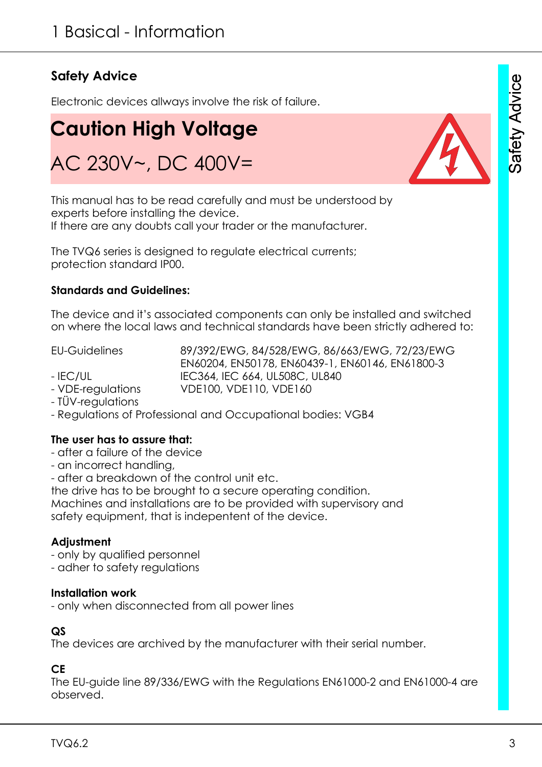# **Safety Advice**

Electronic devices allways involve the risk of failure.

# **Caution High Voltage** AC 230V~, DC 400V=

This manual has to be read carefully and must be understood by experts before installing the device. If there are any doubts call your trader or the manufacturer.

The TVQ6 series is designed to regulate electrical currents; protection standard IP00.

### **Standards and Guidelines:**

The device and it's associated components can only be installed and switched on where the local laws and technical standards have been strictly adhered to:

- VDE-regulations VDE100, VDE110, VDE160

EU-Guidelines 89/392/EWG, 84/528/EWG, 86/663/EWG, 72/23/EWG EN60204, EN50178, EN60439-1, EN60146, EN61800-3 - IEC/UL IEC364, IEC 664, UL508C, UL840

- TÜV-regulations
- Regulations of Professional and Occupational bodies: VGB4

#### **The user has to assure that:**

- after a failure of the device
- an incorrect handling,

- after a breakdown of the control unit etc.

the drive has to be brought to a secure operating condition.

Machines and installations are to be provided with supervisory and safety equipment, that is indepentent of the device.

### **Adjustment**

- only by qualified personnel
- adher to safety regulations

#### **Installation work**

- only when disconnected from all power lines

#### **QS**

The devices are archived by the manufacturer with their serial number.

#### **CE**

The EU-guide line 89/336/EWG with the Regulations EN61000-2 and EN61000-4 are observed.



Safety Advice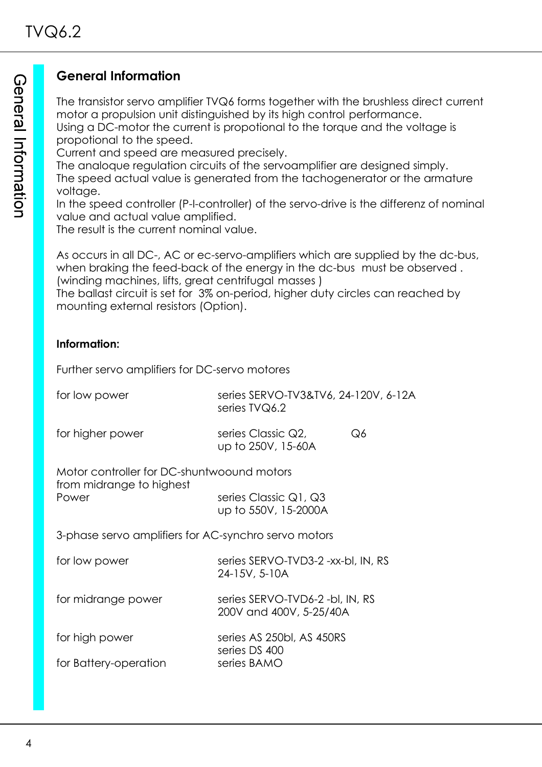# **General Information**

The transistor servo amplifier TVQ6 forms together with the brushless direct current motor a propulsion unit distinguished by its high control performance.

Using a DC-motor the current is propotional to the torque and the voltage is propotional to the speed.

Current and speed are measured precisely.

The analoque regulation circuits of the servoamplifier are designed simply. The speed actual value is generated from the tachogenerator or the armature voltage.

In the speed controller (P-I-controller) of the servo-drive is the differenz of nominal value and actual value amplified.

The result is the current nominal value.

As occurs in all DC-, AC or ec-servo-amplifiers which are supplied by the dc-bus, when braking the feed-back of the energy in the dc-bus must be observed . (winding machines, lifts, great centrifugal masses )

The ballast circuit is set for 3% on-period, higher duty circles can reached by mounting external resistors (Option).

# **Information:**

Further servo amplifiers for DC-servo motores

| for low power                                                          | series SERVO-TV3&TV6, 24-120V, 6-12A<br>series TVQ6.2      |  |  |  |
|------------------------------------------------------------------------|------------------------------------------------------------|--|--|--|
| for higher power                                                       | series Classic Q2,<br>Q6<br>up to 250V, 15-60A             |  |  |  |
| Motor controller for DC-shuntwoound motors<br>from midrange to highest |                                                            |  |  |  |
| Power                                                                  | series Classic Q1, Q3<br>up to 550V, 15-2000A              |  |  |  |
| 3-phase servo amplifiers for AC-synchro servo motors                   |                                                            |  |  |  |
| for low power                                                          | series SERVO-TVD3-2 -xx-bl, IN, RS<br>24-15V, 5-10A        |  |  |  |
| for midrange power                                                     | series SERVO-TVD6-2 -bl, IN, RS<br>200V and 400V, 5-25/40A |  |  |  |
| for high power                                                         | series AS 250bl, AS 450RS<br>series DS 400                 |  |  |  |
| for Battery-operation                                                  | series BAMO                                                |  |  |  |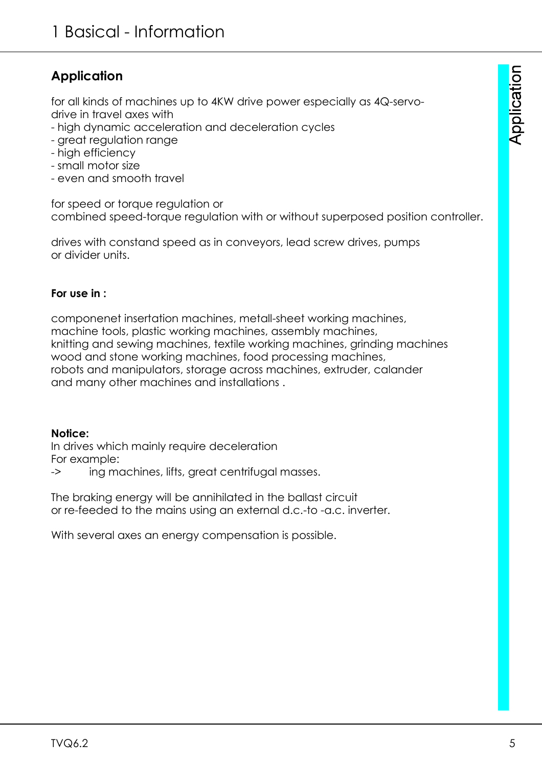# **Application**

for all kinds of machines up to 4KW drive power especially as 4Q-servodrive in travel axes with

- high dynamic acceleration and deceleration cycles
- great regulation range
- high efficiency
- small motor size
- even and smooth travel

for speed or torque regulation or combined speed-torque regulation with or without superposed position controller.

drives with constand speed as in conveyors, lead screw drives, pumps or divider units.

### **For use in :**

componenet insertation machines, metall-sheet working machines, machine tools, plastic working machines, assembly machines, knitting and sewing machines, textile working machines, grinding machines wood and stone working machines, food processing machines, robots and manipulators, storage across machines, extruder, calander and many other machines and installations .

### **Notice:**

In drives which mainly require deceleration For example:

-> ing machines, lifts, great centrifugal masses.

The braking energy will be annihilated in the ballast circuit or re-feeded to the mains using an external d.c.-to -a.c. inverter.

With several axes an energy compensation is possible.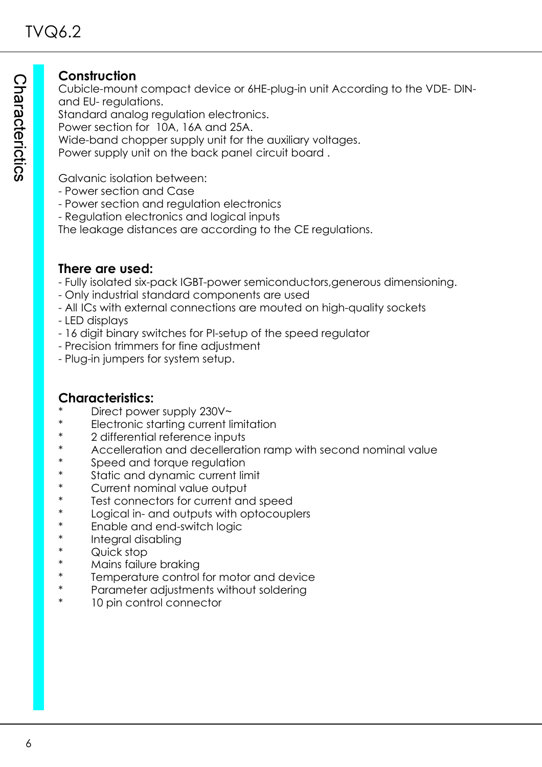# **Construction**

Cubicle-mount compact device or 6HE-plug-in unit According to the VDE- DINand EU- regulations.

Standard analog regulation electronics.

Power section for 10A, 16A and 25A.

Wide-band chopper supply unit for the auxiliary voltages.

Power supply unit on the back panel circuit board .

Galvanic isolation between:

- Power section and Case
- Power section and regulation electronics
- Regulation electronics and logical inputs

The leakage distances are according to the CE regulations.

## **There are used:**

- Fully isolated six-pack IGBT-power semiconductors,generous dimensioning.
- Only industrial standard components are used
- All ICs with external connections are mouted on high-quality sockets
- LED displays
- 16 digit binary switches for PI-setup of the speed regulator
- Precision trimmers for fine adjustment
- Plug-in jumpers for system setup.

# **Characteristics:**

- Direct power supply 230V~
- Electronic starting current limitation
- 2 differential reference inputs
- Accelleration and decelleration ramp with second nominal value
- Speed and torque regulation
- Static and dynamic current limit
- Current nominal value output
- Test connectors for current and speed
- Logical in- and outputs with optocouplers
- Enable and end-switch logic
- Integral disabling
- Quick stop
- Mains failure braking
- Temperature control for motor and device
- Parameter adjustments without soldering
- 10 pin control connector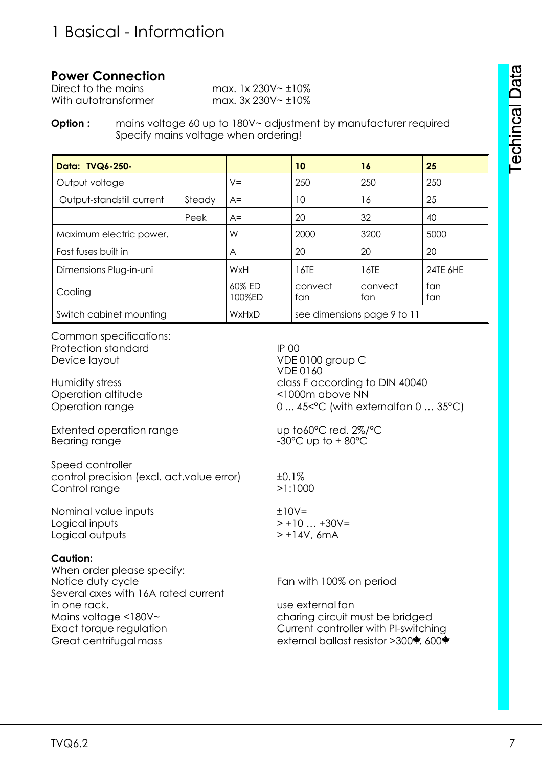### **Power Connection**

| Direct to the mains  | max. $1 \times 230V - \pm 10\%$ |
|----------------------|---------------------------------|
| With autotransformer | max. $3x\,230V - \pm 10\%$      |

#### **Option :** mains voltage 60 up to 180V~ adjustment by manufacturer required Specify mains voltage when ordering!

| Data: TVQ6-250-           |        |                  | 10                          | 16             | 25         |
|---------------------------|--------|------------------|-----------------------------|----------------|------------|
| Output voltage            |        | $V =$            | 250                         | 250            | 250        |
| Output-standstill current | Steady | $A=$             | 10                          | 16             | 25         |
|                           | Peek   | $A=$             | 20                          | 32             | 40         |
| Maximum electric power.   |        | W                | 2000                        | 3200           | 5000       |
| Fast fuses built in       |        | A                | 20                          | 20             | 20         |
| Dimensions Plug-in-uni    |        | WxH              | 16TE                        | 16TE           | 24TE 6HE   |
| Cooling                   |        | 60% ED<br>100%ED | convect<br>fan              | convect<br>fan | fan<br>fan |
| Switch cabinet mounting   |        | WxHxD            | see dimensions page 9 to 11 |                |            |

Common specifications: Protection standard IP 00 Device layout VDE 0100 group C

Operation altitude <1000m above NN

Extented operation range up to 60°C red. 2%/°C Bearing range  $-30^{\circ}$ C up to +80 $^{\circ}$ C

Speed controller control precision (excl. act.value error)  $\pm 0.1\%$ Control range >1:1000

Nominal value inputs  $\pm 10V=$ Logical inputs  $> +10 ... +30V=$ Logical outputs > +14V, 6mA

#### **Caution:**

When order please specify: Notice duty cycle Table Tan with 100% on period Several axes with 16A rated current in one rack. use external fan Mains voltage <180V~ charing circuit must be bridged Exact torque regulation Current controller with PI-switching Great centrifugal mass external ballast resistor >300, 600,

VDE 0160 Humidity stress extending to DIN 40040 Operation range 0 ... 45<°C (with externalfan 0 ... 35°C)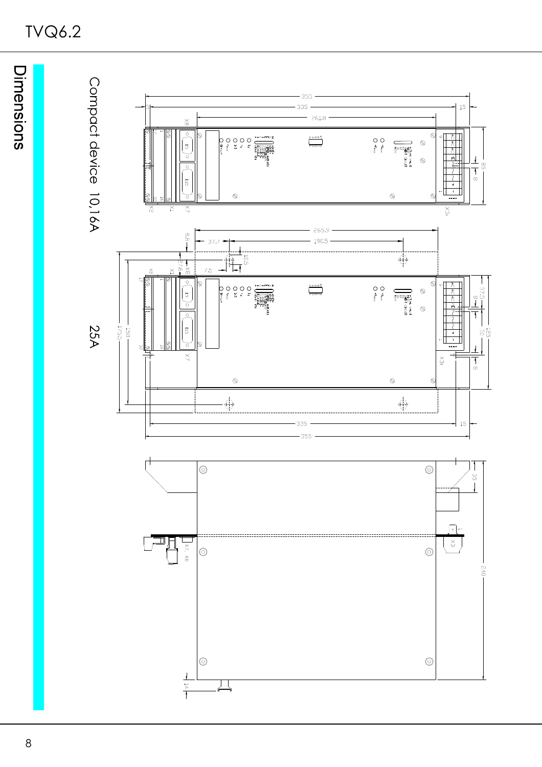# TVQ6.2

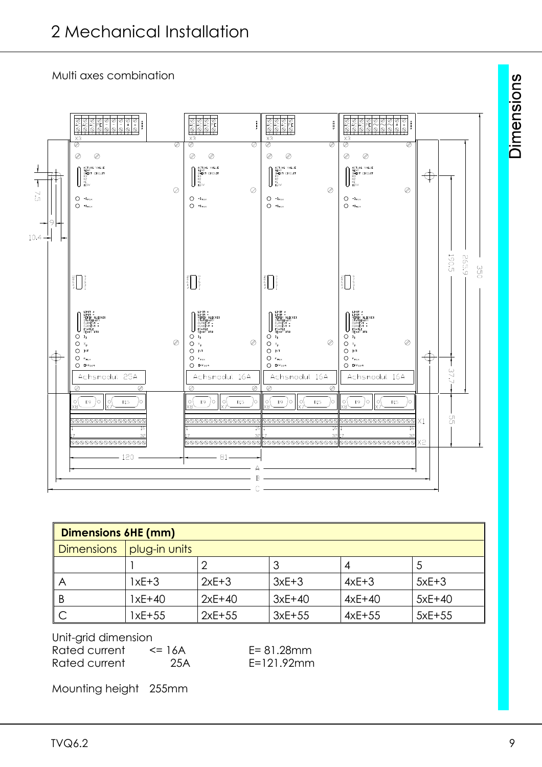Multi axes combination



| <b>Dimensions 6HE (mm)</b> |               |          |          |          |          |  |  |
|----------------------------|---------------|----------|----------|----------|----------|--|--|
| <b>Dimensions</b>          | plug-in units |          |          |          |          |  |  |
|                            |               |          |          | 4        |          |  |  |
| Α                          | $1xE+3$       | $2xE+3$  | $3xE+3$  | $4xE+3$  | $5xE+3$  |  |  |
| B                          | $1xE+40$      | $2xE+40$ | $3xE+40$ | $4xE+40$ | $5xE+40$ |  |  |
|                            | 1xE+55        | $2xE+55$ | $3xE+55$ | $4xE+55$ | $5xE+55$ |  |  |

Unit-grid dimension Rated current  $\leq 16A$  E= 81.28mm Rated current 25A E=121.92mm

Mounting height 255mm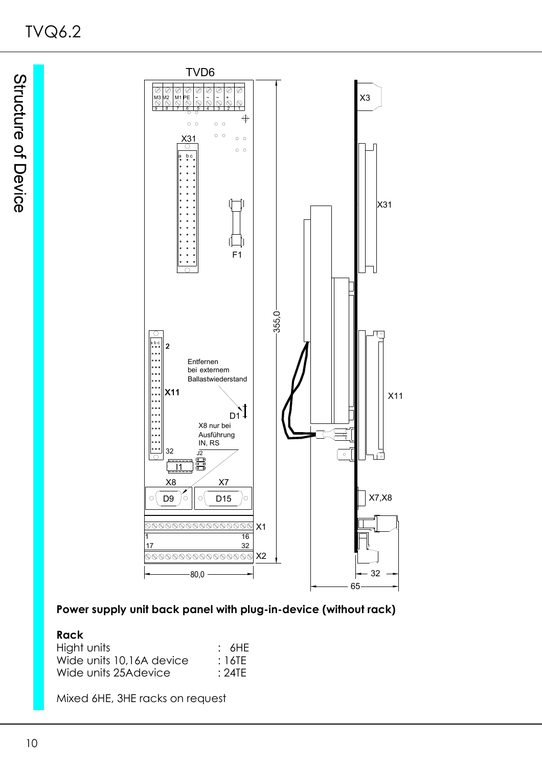

## **Power supply unit back panel with plug-in-device (without rack)**

#### **Rack**

| Hight units              | : 6HE |
|--------------------------|-------|
| Wide units 10,16A device | :16TE |
| Wide units 25Adevice     | :24TE |

Mixed 6HE, 3HE racks on request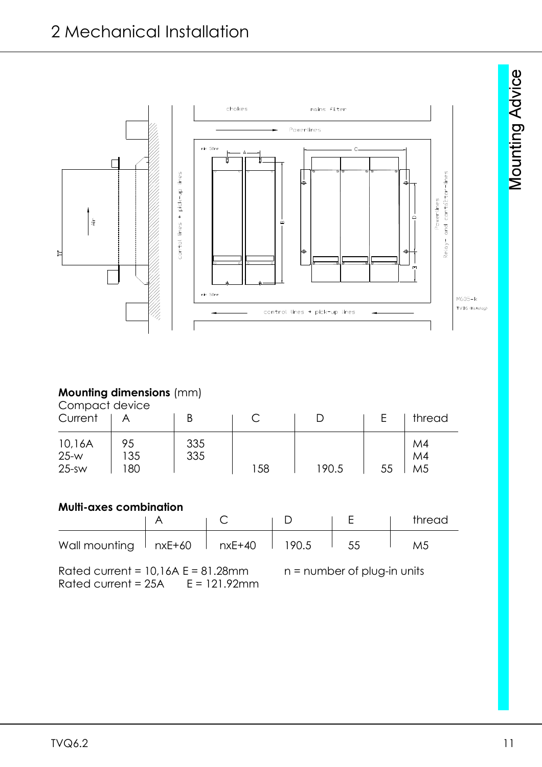

#### **Mounting dimensions** (mm)

Compact device

| Current                     |                  |            |     |       |    | thread                     |
|-----------------------------|------------------|------------|-----|-------|----|----------------------------|
| 10,16A<br>$25-w$<br>$25-SW$ | 95<br>135<br>180 | 335<br>335 | 158 | 190.5 | 55 | M4<br>M4<br>M <sub>5</sub> |

# **Multi-axes combination**

|                                                     |  |       |    | thread |
|-----------------------------------------------------|--|-------|----|--------|
| Wall mounting $\parallel$ nxE+60 $\parallel$ nxE+40 |  | 190.5 | 55 |        |

Rated current =  $10,16A E = 81.28mm$  n = number of plug-in units Rated current =  $25A$   $E = 121.92$ mm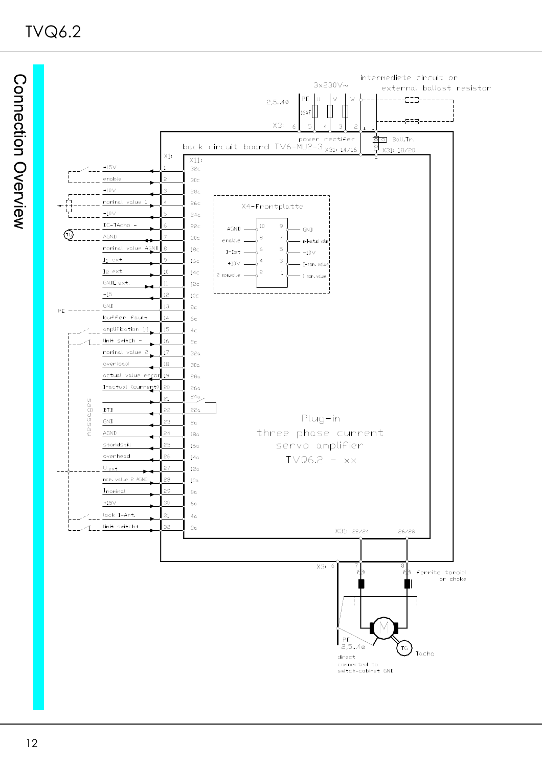TVQ6.2

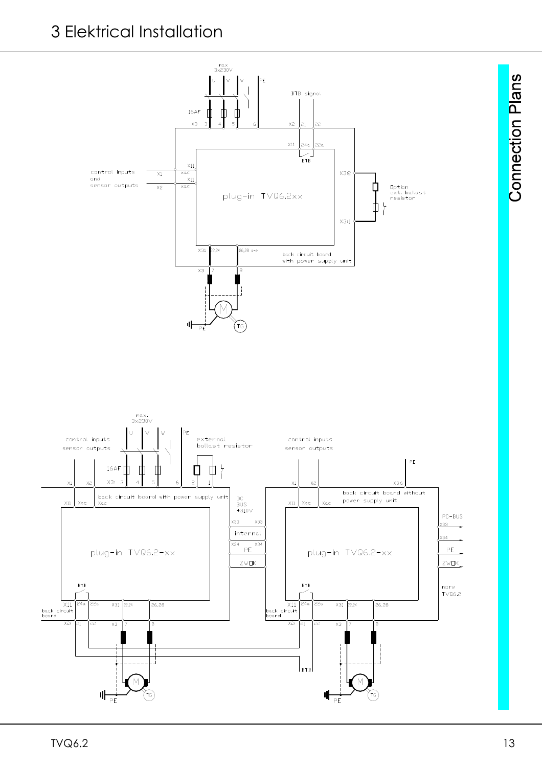# 3 Elektrical Installation

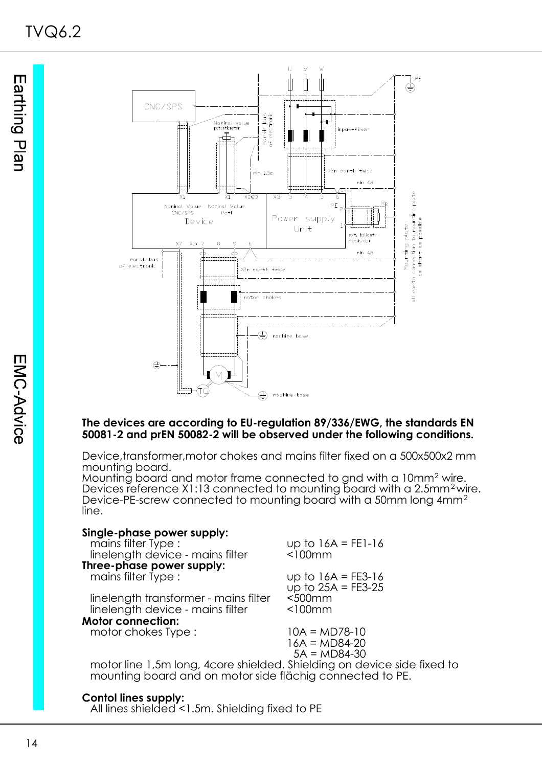

#### **The devices are according to EU-regulation 89/336/EWG, the standards EN 50081-2 and prEN 50082-2 will be observed under the following conditions.**

Device,transformer,motor chokes and mains filter fixed on a 500x500x2 mm mounting board.

Mounting board and motor frame connected to gnd with a 10mm<sup>2</sup> wire. Devices reference X1:13 connected to mounting board with a 2.5mm<sup>2</sup> wire. Device-PE-screw connected to mounting board with a 50mm long 4mm<sup>2</sup> line.

| Single-phase power supply:                                              |                      |
|-------------------------------------------------------------------------|----------------------|
| mains filter Type:                                                      | up to $16A = FE1-16$ |
| linelength device - mains filter                                        | $<$ 100 $mm$         |
| Three-phase power supply:                                               |                      |
| mains filter Type:                                                      | up to $16A = FE3-16$ |
|                                                                         | up to $25A = FE3-25$ |
| linelength transformer - mains filter                                   | $500mm$              |
| linelength device - mains filter                                        | $<$ 100 $mm$         |
| <b>Motor connection:</b>                                                |                      |
| motor chokes Type:                                                      | $10A = MD78-10$      |
|                                                                         | $16A = MD84-20$      |
|                                                                         | $5A = MD84-30$       |
| motor line 1,5m long, 4core shielded. Shielding on device side fixed to |                      |

mounting board and on motor side flächig connected to PE.

#### **Contol lines supply:**

All lines shielded <1.5m. Shielding fixed to PE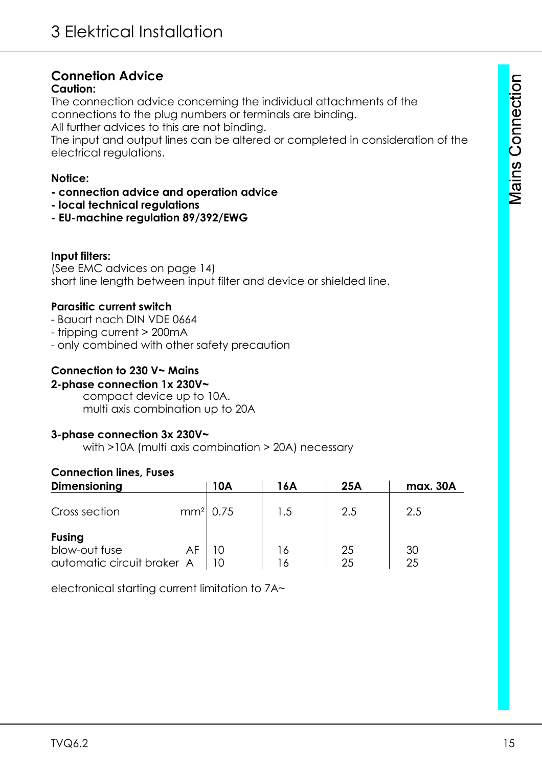# **Connetion Advice**

# **Caution:**

The connection advice concerning the individual attachments of the connections to the plug numbers or terminals are binding. All further advices to this are not binding.

The input and output lines can be altered or completed in consideration of the electrical regulations.

# **Notice:**

- **connection advice and operation advice**
- **local technical regulations**
- **EU-machine regulation 89/392/EWG**

# **Input filters:**

(See EMC advices on page 14) short line length between input filter and device or shielded line.

# **Parasitic current switch**

- Bauart nach DIN VDE 0664
- tripping current > 200mA
- only combined with other safety precaution

# **Connection to 230 V~ Mains**

# **2-phase connection 1x 230V~**

compact device up to 10A. multi axis combination up to 20A

# **3-phase connection 3x 230V~**

with >10A (multi axis combination > 20A) necessary

# **Connection lines, Fuses**

| <b>Dimensioning</b>        | 10A        | 16A         | 25A | max. 30A |
|----------------------------|------------|-------------|-----|----------|
| Cross section              | $mm2$ 0.75 | 1.5         | 2.5 | 2.5      |
| <b>Fusing</b>              |            |             |     |          |
| blow-out fuse              |            | ۱6          | 25  | 30       |
| automatic circuit braker A |            | $6^{\circ}$ | 25  | 25       |

electronical starting current limitation to 7A~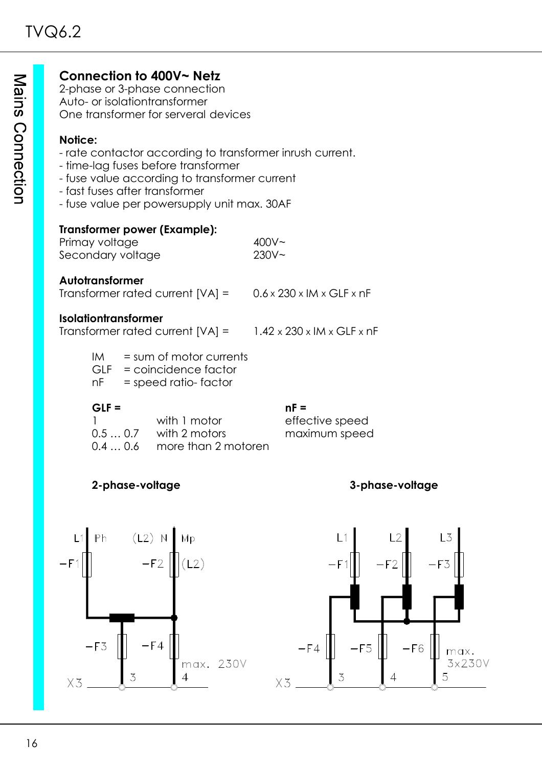# **Connection to 400V~ Netz**

2-phase or 3-phase connection Auto- or isolationtransformer One transformer for serveral devices

#### **Notice:**

- rate contactor according to transformer inrush current.
- time-lag fuses before transformer
- fuse value according to transformer current
- fast fuses after transformer
- fuse value per powersupply unit max. 30AF

#### **Transformer power (Example):**

| Primay voltage    | 400V <sub>2</sub> |
|-------------------|-------------------|
| Secondary voltage | $230V -$          |

#### **Autotransformer**

Transformer rated current  $[VA] = 0.6 \times 230 \times 1$ M x GLF x nF

#### **Isolationtransformer**

Transformer rated current  $[VA] = 1.42 \times 230 \times 1$ M x GLF x nF

 $IM = sum of motor currents$ 

GLF = coincidence factor

nF = speed ratio- factor

#### **GLF = nF =**

| with 1 motor                 |
|------------------------------|
| $0.50.7$ with 2 motors       |
| $0.40.6$ more than 2 motoren |

effective speed maximum speed

# **2-phase-voltage 3-phase-voltage**

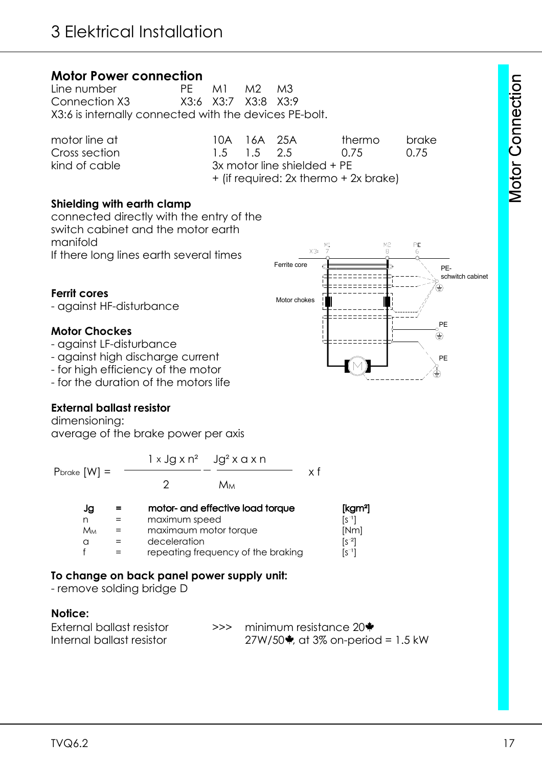# **Motor Power connection**<br>Line number PF

Line number **PE** M1 M2 M3 Connection X3 X3:6 X3:7 X3:8 X3:9 X3:6 is internally connected with the devices PE-bolt.

| motor line at | 10A 16A 25A |                               | thermo                                | brake |
|---------------|-------------|-------------------------------|---------------------------------------|-------|
| Cross section | 1.5 1.5 2.5 |                               | $(1)$ /5                              | 0.75  |
| kind of cable |             | $3x$ motor line shielded + PE |                                       |       |
|               |             |                               | + (if required: 2x thermo + 2x brake) |       |

#### **Shielding with earth clamp**

connected directly with the entry of the switch cabinet and the motor earth manifold If there long lines earth several times

#### **Ferrit cores**

- against HF-disturbance

#### **Motor Chockes**

- against LF-disturbance
- against high discharge current
- for high efficiency of the motor
- for the duration of the motors life

#### **External ballast resistor**

dimensioning: average of the brake power per axis

|                            |               | $1 \times$ Jg $\times$ n <sup>2</sup> Jg <sup>2</sup> $\times$ a $\times$ n |                          |
|----------------------------|---------------|-----------------------------------------------------------------------------|--------------------------|
| $P^{\text{brake}}$ $[W] =$ |               | Мм                                                                          | χf                       |
| Jg                         |               | motor- and effective load torque                                            | [kgm <sup>2</sup> ]      |
| n                          | maximum speed |                                                                             | $\lceil s^{\neg} \rceil$ |
| Mм                         |               | maximaum motor torque                                                       | [Nm]                     |
| a                          | deceleration  |                                                                             | $\lceil 5^{-2} \rceil$   |
|                            |               | repeating frequency of the braking                                          | [s¯1]                    |

#### **To change on back panel power supply unit:**

- remove solding bridge D

#### **Notice:**

| External ballast resistor | $\gg$ minimum resistance 20 $\bullet$       |
|---------------------------|---------------------------------------------|
| Internal ballast resistor | 27W/50 $\bullet$ , at 3% on-period = 1.5 kW |

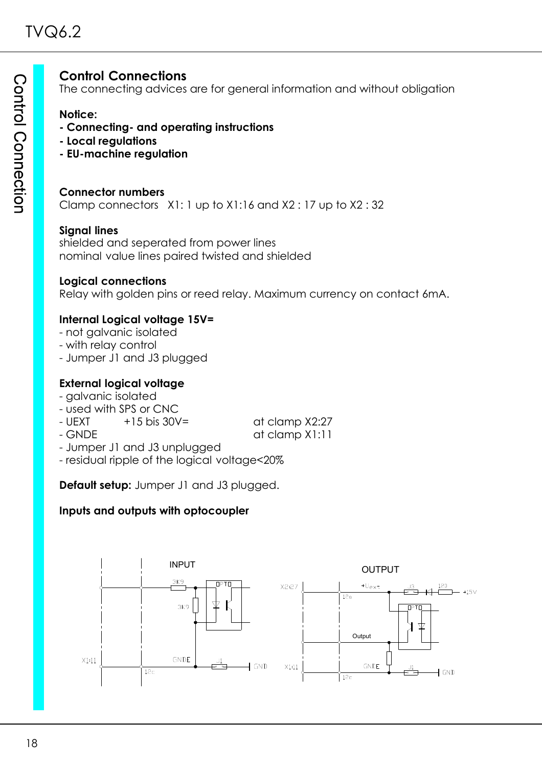# **Control Connections**

The connecting advices are for general information and without obligation

**Notice:**

- **Connecting- and operating instructions**
- **Local regulations**
- **EU-machine regulation**

#### **Connector numbers**

Clamp connectors X1: 1 up to X1:16 and X2 : 17 up to X2 : 32

#### **Signal lines**

shielded and seperated from power lines nominal value lines paired twisted and shielded

#### **Logical connections**

Relay with golden pins or reed relay. Maximum currency on contact 6mA.

### **Internal Logical voltage 15V=**

- not galvanic isolated
- with relay control
- Jumper J1 and J3 plugged

### **External logical voltage**

- galvanic isolated
- used with SPS or CNC
- $-$  UEXT  $+15$  bis 30V=  $\qquad$  at clamp X2:27

- 
- GNDE at clamp X1:11 - Jumper J1 and J3 unplugged
- residual ripple of the logical voltage<20%

**Default setup:** Jumper J1 and J3 plugged.

### **Inputs and outputs with optocoupler**

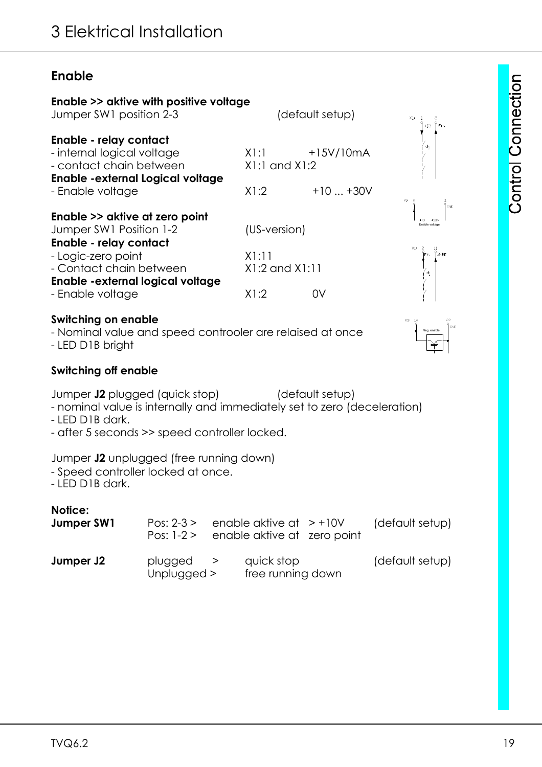# **Enable**

| Enable >> aktive with positive voltage<br>Jumper SW1 position 2-3<br>(default setup)<br>X1: 1<br>$+15$ TFr.<br>+15V/10mA<br>X1:1<br>$X1:1$ and $X1:2$<br>X1:2<br>$+10+30V$<br>X1:<br>(US-version)<br>X1:11<br>ĬFr.<br><b>ÍGNDE</b><br>$X1:2$ and $X1:11$<br>่ง¦<br>X1:2<br>0V<br>X3:14<br>Neg. enable<br>(default setup)<br>enable aktive at $> +10V$<br>Pos: $2-3 >$<br>Pos: $1-2 >$<br>enable aktive at zero point<br>plugged<br>quick stop<br>><br>free running down<br>Unplugged >                                                                                                                                                                                                                                                                                                                                    |  |  |  |  |  |                 |
|---------------------------------------------------------------------------------------------------------------------------------------------------------------------------------------------------------------------------------------------------------------------------------------------------------------------------------------------------------------------------------------------------------------------------------------------------------------------------------------------------------------------------------------------------------------------------------------------------------------------------------------------------------------------------------------------------------------------------------------------------------------------------------------------------------------------------|--|--|--|--|--|-----------------|
| Enable - relay contact<br>- internal logical voltage<br>- contact chain between<br><b>Enable -external Logical voltage</b><br>- Enable voltage<br>Enable >> aktive at zero point<br>Jumper SW1 Position 1-2<br>Enable - relay contact<br>- Logic-zero point<br>- Contact chain between<br>Enable - external logical voltage<br>- Enable voltage<br><b>Switching on enable</b><br>- Nominal value and speed controoler are relaised at once<br>- LED D1B bright<br><b>Switching off enable</b><br>Jumper J2 plugged (quick stop)<br>- nominal value is internally and immediately set to zero (deceleration)<br>- LED D1B dark.<br>- after 5 seconds >> speed controller locked.<br>Jumper J2 unplugged (free running down)<br>- Speed controller locked at once.<br>- LED D1B dark.<br>Notice:<br>Jumper SW1<br>Jumper J2 |  |  |  |  |  |                 |
|                                                                                                                                                                                                                                                                                                                                                                                                                                                                                                                                                                                                                                                                                                                                                                                                                           |  |  |  |  |  |                 |
|                                                                                                                                                                                                                                                                                                                                                                                                                                                                                                                                                                                                                                                                                                                                                                                                                           |  |  |  |  |  |                 |
|                                                                                                                                                                                                                                                                                                                                                                                                                                                                                                                                                                                                                                                                                                                                                                                                                           |  |  |  |  |  | GND             |
|                                                                                                                                                                                                                                                                                                                                                                                                                                                                                                                                                                                                                                                                                                                                                                                                                           |  |  |  |  |  |                 |
|                                                                                                                                                                                                                                                                                                                                                                                                                                                                                                                                                                                                                                                                                                                                                                                                                           |  |  |  |  |  |                 |
|                                                                                                                                                                                                                                                                                                                                                                                                                                                                                                                                                                                                                                                                                                                                                                                                                           |  |  |  |  |  |                 |
|                                                                                                                                                                                                                                                                                                                                                                                                                                                                                                                                                                                                                                                                                                                                                                                                                           |  |  |  |  |  |                 |
|                                                                                                                                                                                                                                                                                                                                                                                                                                                                                                                                                                                                                                                                                                                                                                                                                           |  |  |  |  |  |                 |
|                                                                                                                                                                                                                                                                                                                                                                                                                                                                                                                                                                                                                                                                                                                                                                                                                           |  |  |  |  |  |                 |
|                                                                                                                                                                                                                                                                                                                                                                                                                                                                                                                                                                                                                                                                                                                                                                                                                           |  |  |  |  |  | (default setup) |
|                                                                                                                                                                                                                                                                                                                                                                                                                                                                                                                                                                                                                                                                                                                                                                                                                           |  |  |  |  |  | (default setup) |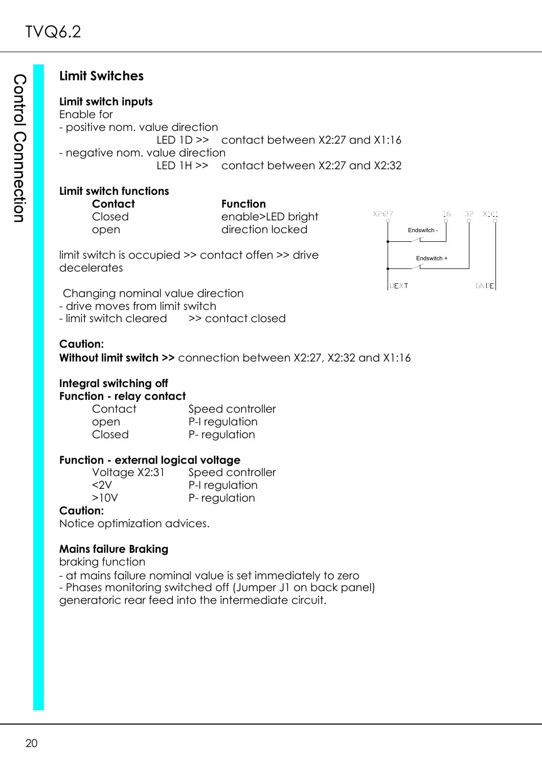# **Limit Switches**

#### **Limit switch inputs**

Enable for - positive nom. value direction LED 1D >> contact between X2:27 and X1:16 - negative nom. value direction LED 1H >> contact between X2:27 and X2:32

## **Limit switch functions**

**Contact Function** Closed enable>LED bright

open direction locked

limit switch is occupied >> contact offen >> drive decelerates



Changing nominal value direction

- drive moves from limit switch<br>- limit switch cleared >> contact closed - limit switch cleared

### **Caution:**

**Without limit switch >>** connection between X2:27, X2:32 and X1:16

# **Integral switching off Function - relay contact**

Contact Speed controller open P-I regulation Closed P- regulation

#### **Function - external logical voltage**

Voltage X2:31 Speed controller <2V P-I regulation >10V P- regulation

### **Caution:**

Notice optimization advices.

### **Mains failure Braking**

braking function

- at mains failure nominal value is set immediately to zero

- Phases monitoring switched off (Jumper J1 on back panel)

generatoric rear feed into the intermediate circuit.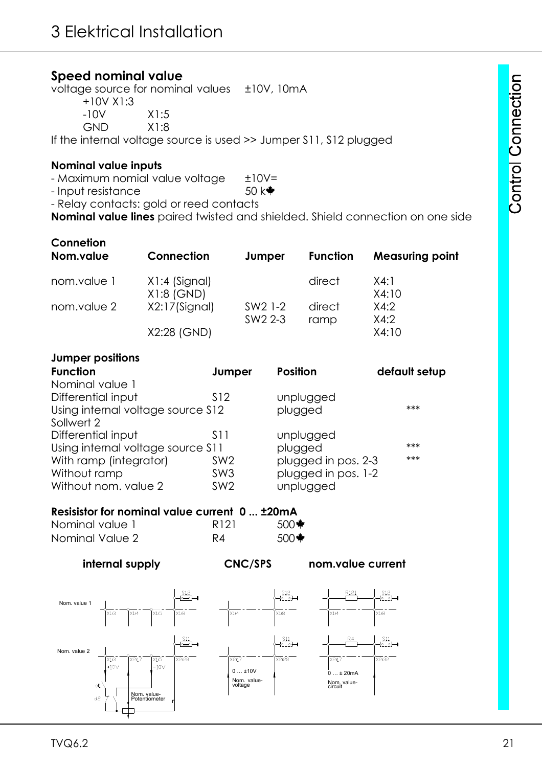## **Speed nominal value**

voltage source for nominal values  $\pm 10V$ , 10mA

+10V X1:3

-10V X1:5

GND X1:8

If the internal voltage source is used >> Jumper S11, S12 plugged

#### **Nominal value inputs**

- Maximum nomial value voltage  $±10V=$ 

 $-$  Input resistance 50 k $\triangleq$ 

- Relay contacts: gold or reed contacts

**Nominal value lines** paired twisted and shielded. Shield connection on one side

| Connetion<br>Nom.value | Connection                      | Jumper                                     | <b>Function</b> | <b>Measuring point</b> |
|------------------------|---------------------------------|--------------------------------------------|-----------------|------------------------|
| nom.value 1            | $X1:4$ (Signal)<br>$X1:8$ (GND) |                                            | direct          | X4:1<br>X4:10          |
| nom.value 2            | X2:17(Signal)                   | SW <sub>2</sub> 1-2<br>SW <sub>2</sub> 2-3 | direct<br>ramp  | X4:2<br>X4:2           |
|                        | X2:28 (GND)                     |                                            |                 | X4:10                  |

#### **Jumper positions**

| Jumper                            | <b>Position</b>     | default setup |
|-----------------------------------|---------------------|---------------|
|                                   |                     |               |
| S <sub>12</sub>                   | unplugged           |               |
| Using internal voltage source S12 | plugged             | $***$         |
|                                   |                     |               |
| S11                               | unplugged           |               |
| Using internal voltage source S11 | plugged             | $***$         |
| SW <sub>2</sub>                   | plugged in pos. 2-3 | $***$         |
| SW <sub>3</sub>                   | plugged in pos. 1-2 |               |
| SW <sub>2</sub>                   | unplugged           |               |
|                                   |                     |               |

## **Resisistor for nominal value current 0 ... ±20mA**

| Nominal value 1 | R <sub>121</sub> | $500*$ |
|-----------------|------------------|--------|
| Nominal Value 2 | R4               | $500*$ |



**internal supply CNC/SPS nom.value current**

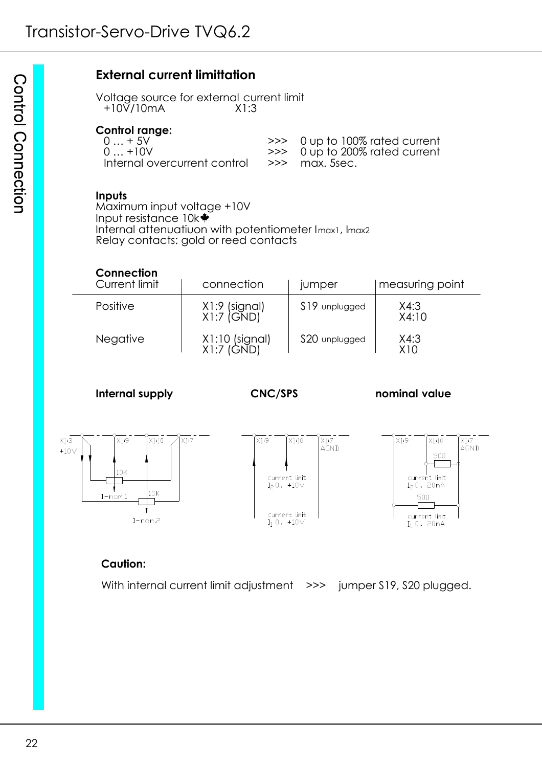# **External current limittation**

Voltage source for external current limit +10V/10mA X1:3

#### **Control range:**

| 0  + 5V | >>> 0 up to 100% rated current   |
|---------|----------------------------------|
| 0  +10V | $\gg$ 0 up to 200% rated current |
|         |                                  |

#### **Inputs**

Maximum input voltage +10V Input resistance 10k Internal attenuatiuon with potentiometer Imax1, Imax2 Relay contacts: gold or reed contacts

| Connection<br>Current limit | connection                    | jumper        | measuring point         |
|-----------------------------|-------------------------------|---------------|-------------------------|
| Positive                    | X1:9 (signal)<br>$X1:7$ (GND) | S19 unplugged | X4:3<br>X4:10           |
| <b>Negative</b>             | X1:10 (signal)<br>X1:7 (GND)  | S20 unplugged | X4:3<br>X <sub>10</sub> |

**Internal supply CNC/SPS nominal value**



#### **Caution:**

With internal current limit adjustment >>> jumper \$19, \$20 plugged.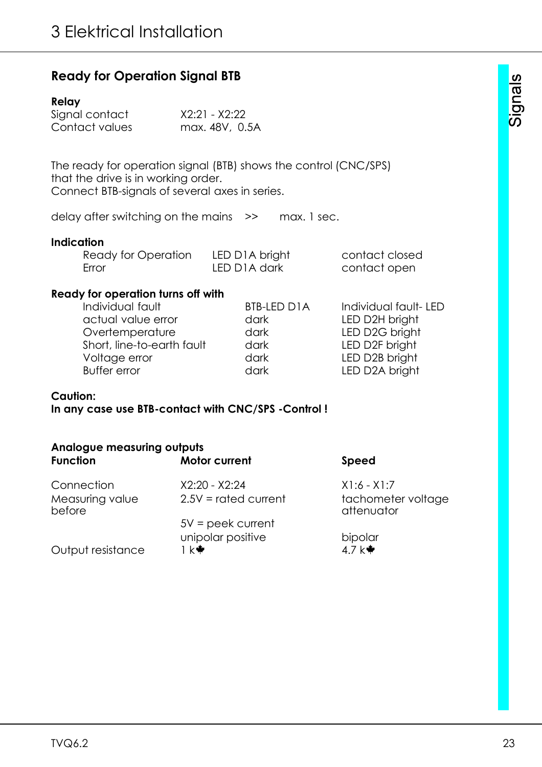|  | <b>Ready for Operation Signal BTB</b> |  |  |
|--|---------------------------------------|--|--|
|--|---------------------------------------|--|--|

#### **Relay**

| Signal contact | X2:21 - X2:22  |
|----------------|----------------|
| Contact values | max. 48V, 0.5A |

The ready for operation signal (BTB) shows the control (CNC/SPS) that the drive is in working order. Connect BTB-signals of several axes in series.

delay after switching on the mains >> max. 1 sec.

#### **Indication**

| Ready for Operation | LED D1A bright            | contact closed |
|---------------------|---------------------------|----------------|
| Error               | LED D <sub>1</sub> A dark | contact open   |

#### **Ready for operation turns off with**

| Individual fault           | <b>BTB-LED D1A</b> | Individual fault-LED |
|----------------------------|--------------------|----------------------|
| actual value error         | dark               | LED D2H bright       |
| Overtemperature            | dark               | LED D2G bright       |
| Short, line-to-earth fault | dark               | LED D2F bright       |
| Voltage error              | dark               | LED D2B bright       |
| <b>Buffer error</b>        | dark               | LED D2A bright       |
|                            |                    |                      |

#### **Caution:**

**In any case use BTB-contact with CNC/SPS -Control !**

| <b>Analogue measuring outputs</b> |                        |                                  |
|-----------------------------------|------------------------|----------------------------------|
| <b>Function</b>                   | <b>Motor current</b>   | <b>Speed</b>                     |
| Connection                        | $X2:20 - X2:24$        | $X1:6 - X1:7$                    |
| Measuring value<br>before         | $2.5V =$ rated current | tachometer voltage<br>attenuator |
|                                   | $5V =$ peek current    |                                  |
|                                   | unipolar positive      | bipolar                          |
| Output resistance                 | Ik₩                    | 4.7 $k$ <sup>*</sup>             |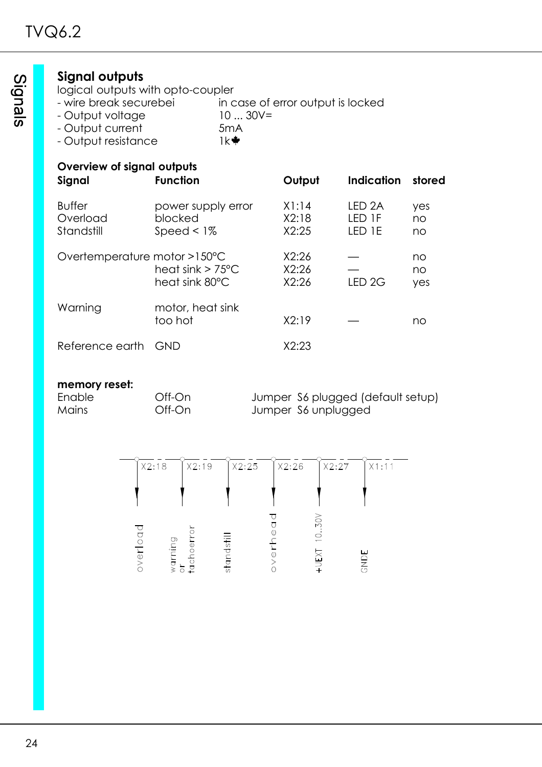# **Signal outputs**

- logical outputs with opto-coupler<br>- wire break securebei in c in case of error output is locked
- Output voltage 10 ... 30V=
- Output current 5mA<br>- Output resistance 1k<sup>→</sup>
- Output resistance

# **Overview of signal outputs**

| OTCHTCW OF SIGHUI OUIDOIS<br>Signal     | <b>Function</b>                                  | Output                  | <b>Indication</b>                     | stored          |
|-----------------------------------------|--------------------------------------------------|-------------------------|---------------------------------------|-----------------|
| <b>Buffer</b><br>Overload<br>Standstill | power supply error<br>blocked<br>Speed $\leq$ 1% | X1:14<br>X2:18<br>X2:25 | LED <sub>2A</sub><br>LED 1F<br>LED 1E | yes<br>no<br>no |
| Overtemperature motor >150°C            | heat sink $> 75^{\circ}$ C<br>heat sink 80°C     | X2:26<br>X2:26<br>X2:26 | LED <sub>2G</sub>                     | no<br>no<br>yes |
| Warning                                 | motor, heat sink<br>too hot                      | X2:19                   |                                       | no              |
| Reference earth                         | GND                                              | X2:23                   |                                       |                 |

#### **memory reset:**

Enable Off-On Jumper S6 plugged (default setup) Mains Off-On Jumper S6 unplugged

| X2:18       | X2:19                  | X2:25                   | X2:26 | X2:27                            | X1:11 |
|-------------|------------------------|-------------------------|-------|----------------------------------|-------|
|             |                        |                         |       |                                  |       |
| ా<br>verloa | warning<br>tachoe<br>ð | andsti<br>$\frac{1}{2}$ |       | XOS.<br>$\dot{\circ}$<br>$+UEXT$ | GNDE  |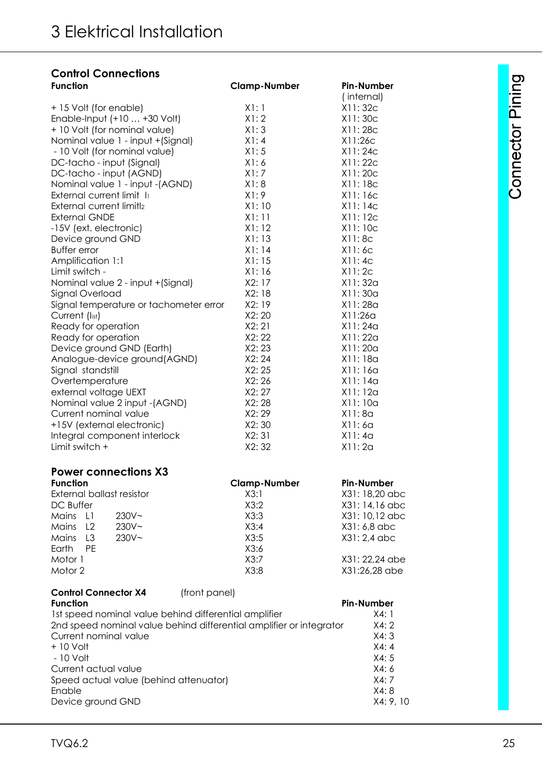# **Control Connections**

| <b>Function</b>                        | <b>Clamp-Number</b> | <b>Pin-Number</b> |
|----------------------------------------|---------------------|-------------------|
|                                        |                     | (internal)        |
| +15 Volt (for enable)                  | X1:1                | X11:32c           |
| Enable-Input (+10  +30 Volt)           | X1:2                | X11:30c           |
| + 10 Volt (for nominal value)          | X1:3                | X11:28c           |
| Nominal value 1 - input + (Signal)     | X1:4                | X11:26c           |
| - 10 Volt (for nominal value)          | X1:5                | X11:24c           |
| DC-tacho - input (Signal)              | X1:6                | X11:22c           |
| DC-tacho - input (AGND)                | X1:7                | X11:20c           |
| Nominal value 1 - input - (AGND)       | X1:8                | X11:18c           |
| External current limit li              | X1:9                | X11:16c           |
| External current limitl2               | X1:10               | X11:14C           |
| <b>External GNDE</b>                   | X1:11               | X11:12c           |
| -15V (ext. electronic)                 | X1:12               | X11:10c           |
| Device ground GND                      | X1:13               | X11:8c            |
| <b>Buffer error</b>                    | X1:14               | X11:6c            |
| Amplification 1:1                      | X1:15               | X11:4c            |
| Limit switch -                         | X1:16               | X11:2c            |
| Nominal value 2 - input + (Signal)     | X2: 17              | X11:32a           |
| Signal Overload                        | X2:18               | X11:30a           |
| Signal temperature or tachometer error | X2:19               | X11:28a           |
| Current (list)                         | X2:20               | X11:26q           |
| Ready for operation                    | X2:21               | X11:24a           |
| Ready for operation                    | X2:22               | X11:22a           |
| Device ground GND (Earth)              | X2:23               | X11:20a           |
| Analogue-device ground(AGND)           | X2:24               | X11:18a           |
| Signal standstill                      | X2:25               | X11:16a           |
| Overtemperature                        | X2:26               | X11:14a           |
| external voltage UEXT                  | X2:27               | X11:12a           |
| Nominal value 2 input - (AGND)         | X2:28               | X11:10a           |
| Current nominal value                  | X2:29               | X11:8a            |
| +15V (external electronic)             | X2:30               | X11:6a            |
| Integral component interlock           | X2:31               | X11:4a            |
| Limit switch +                         | X2:32               | X11:2a            |

### **Power connections X3**

| <b>Function</b>                     | <b>Clamp-Number</b> | Pin-Number     |
|-------------------------------------|---------------------|----------------|
| External ballast resistor           | X3:1                | X31: 18,20 abc |
| DC Buffer                           | X3:2                | X31:14,16 abc  |
| $230V -$<br>Mains L1                | X3:3                | X31: 10,12 abc |
| $230V -$<br>Mains<br>L <sub>2</sub> | X3:4                | X31: 6,8 abc   |
| $230V -$<br>Mains<br>L3             | X3:5                | X31: 2,4 abc   |
| Earth<br><b>PF</b>                  | X3:6                |                |
| Motor 1                             | X3:7                | X31: 22,24 abe |
| Motor 2                             | X3:8                | X31:26,28 abe  |

# **Control Connector X4** (front panel)

| <b>Function</b>                                                     | <b>Pin-Number</b> |
|---------------------------------------------------------------------|-------------------|
| 1st speed nominal value behind differential amplifier               | X4:1              |
| 2nd speed nominal value behind differential amplifier or integrator | X4:2              |
| Current nominal value                                               | X4:3              |
| $+10$ Volt                                                          | X4:4              |
| $-10$ Volt                                                          | X4:5              |
| Current actual value                                                | X4:6              |
| Speed actual value (behind attenuator)                              | X4:7              |
| Enable                                                              | X4:8              |
| Device ground GND                                                   | X4:9,10           |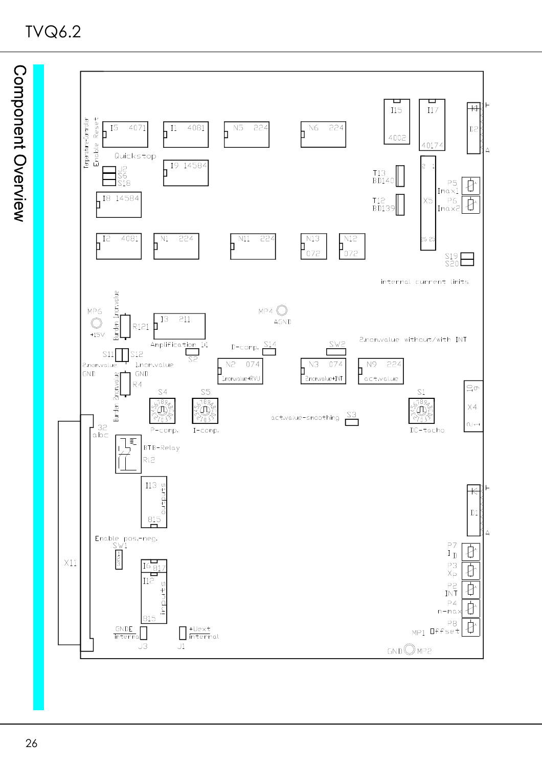

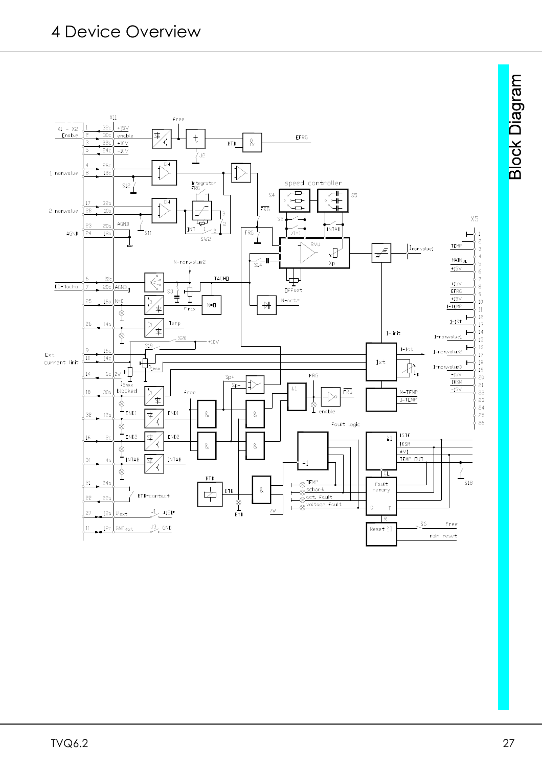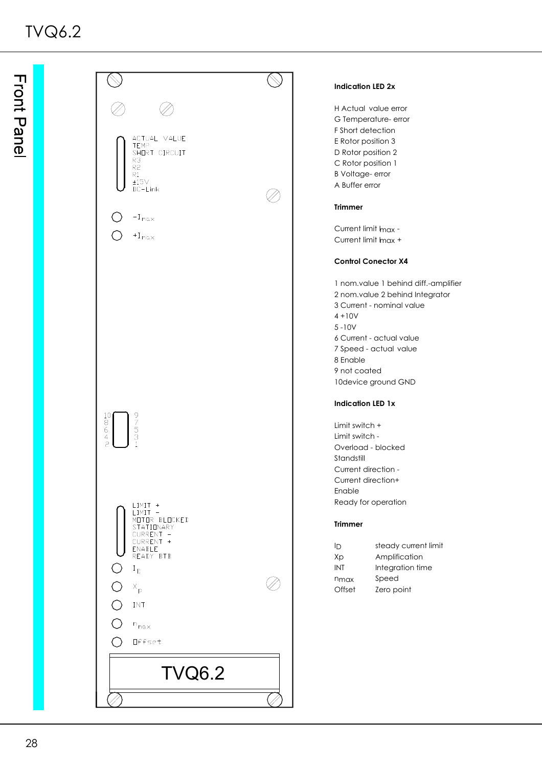

#### **Indication LED 2x**

H Actual value error G Temperature- error F Short detection E Rotor position 3 D Rotor position 2 C Rotor position 1 B Voltage- error A Buffer error

Current limit Imax -Current limit Imax +

#### **Control Conector X4**

1 nom.value 1 behind diff.-amplifier 2 nom.value 2 behind Integrator 3 Current - nominal value 6 Current - actual value 7 Speed - actual value 8 Enable 9 not coated 10device ground GND

#### **Indication LED 1x**

Limit switch + Limit switch - Overload - blocked Standstill Current direction - Current direction+ Ready for operation

#### **Trimmer**

| ID               | steady current limit |
|------------------|----------------------|
| Xp               | Amplification        |
| INT              | Integration time     |
| n <sub>max</sub> | Speed                |
| Offset           | Zero point           |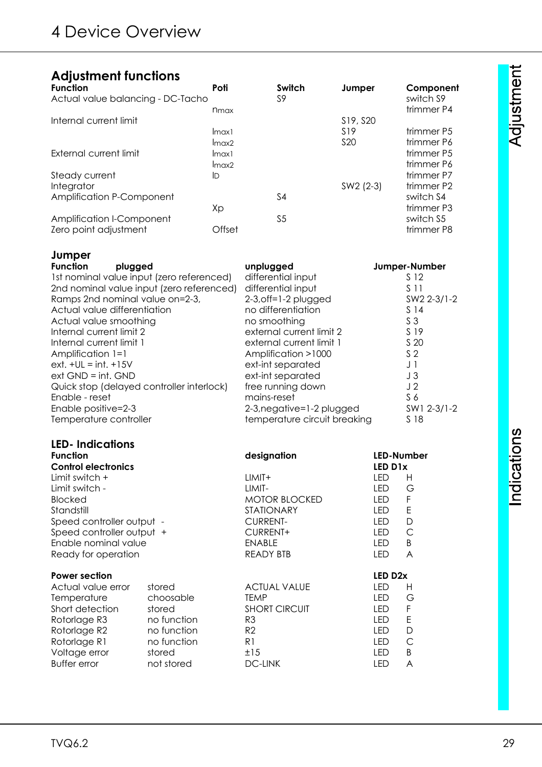# **Adjustment functions**

| <b>Function</b>                   | Poti   | Switch         | Jumper          | Component              |
|-----------------------------------|--------|----------------|-----------------|------------------------|
| Actual value balancing - DC-Tacho |        | S9             |                 | switch S9              |
|                                   | nmax   |                |                 | trimmer P4             |
| Internal current limit            |        |                | S19, S20        |                        |
|                                   | Imax1  |                | S <sub>19</sub> | trimmer P <sub>5</sub> |
|                                   | Imax2  |                | S <sub>20</sub> | trimmer P6             |
| External current limit            | Imax1  |                |                 | trimmer P5             |
|                                   | Imax2  |                |                 | trimmer P6             |
| Steady current                    | ID     |                |                 | trimmer P7             |
| Integrator                        |        |                | SW2 (2-3)       | trimmer P2             |
| Amplification P-Component         |        | S4             |                 | switch S4              |
|                                   | Xp     |                |                 | trimmer P3             |
| Amplification I-Component         |        | S <sub>5</sub> |                 | switch S5              |
| Zero point adjustment             | Offset |                |                 | trimmer P8             |

| Jumper                                    |                              |                 |
|-------------------------------------------|------------------------------|-----------------|
| <b>Function</b><br>plugged                | unplugged                    | Jumper-Number   |
| 1st nominal value input (zero referenced) | differential input           | S 12            |
| 2nd nominal value input (zero referenced) | differential input           | S 11            |
| Ramps 2nd nominal value on=2-3,           | $2-3$ , off=1-2 plugged      | SW2 2-3/1-2     |
| Actual value differentiation              | no differentiation           | S <sub>14</sub> |
| Actual value smoothing                    | no smoothing                 | S <sub>3</sub>  |
| Internal current limit 2                  | external current limit 2     | S 19            |
| Internal current limit 1                  | external current limit 1     | S 20            |
| Amplification 1=1                         | Amplification >1000          | S <sub>2</sub>  |
| $ext. +UL = int. +15V$                    | ext-int separated            | J 1             |
| $ext GND = int. GND$                      | ext-int separated            | J3              |
| Quick stop (delayed controller interlock) | free running down            | J <sub>2</sub>  |
| Enable - reset                            | mains-reset                  | S <sub>6</sub>  |
| Enable positive=2-3                       | 2-3, negative=1-2 plugged    | SW1 2-3/1-2     |
| Temperature controller                    | temperature circuit breaking | S 18            |

#### **LED- Indications**

| <b>Function</b>            |             | designation          |                     | LED-Number |
|----------------------------|-------------|----------------------|---------------------|------------|
| <b>Control electronics</b> |             |                      | LED D1x             |            |
| Limit switch +             |             | LIMIT+               | LED                 | н          |
| Limit switch -             |             | LIMIT-               | LED                 | G          |
| <b>Blocked</b>             |             | <b>MOTOR BLOCKED</b> | LED                 | F          |
| Standstill                 |             | STATIONARY           | LED                 | E          |
| Speed controller output -  |             | <b>CURRENT-</b>      | LED                 | D          |
| Speed controller output +  |             | CURRENT+             | LED                 | С          |
| Enable nominal value       |             | ENABLE               | LED                 | B          |
| Ready for operation        |             | <b>READY BTB</b>     | LED                 | A          |
|                            |             |                      |                     |            |
| <b>Power section</b>       |             |                      | LED D <sub>2x</sub> |            |
| Actual value error         | stored      | <b>ACTUAL VALUE</b>  | LED                 | н          |
| Temperature                | choosable   | <b>TEMP</b>          | LED                 | G          |
| Short detection            | stored      | <b>SHORT CIRCUIT</b> | LED                 | F          |
| Rotorlage R3               | no function | R <sub>3</sub>       | LED                 | Ε          |
| Rotorlage R2               | no function | R <sub>2</sub>       | LED                 | D          |
| Rotorlage R1               | no function | R1                   | LED                 | С          |
| Voltage error              | stored      | ±15                  | LED                 | B          |

Indications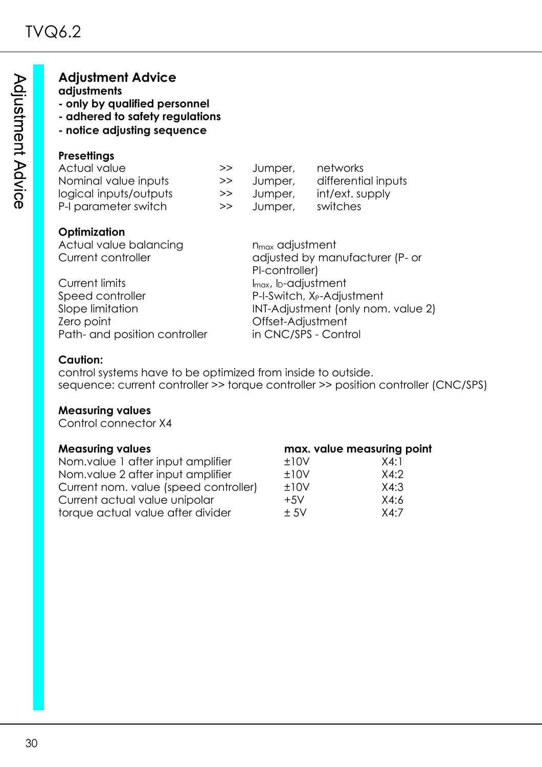| <b>Adjustment Advice</b> |  |
|--------------------------|--|
|--------------------------|--|

#### **adjustments**

- **only by qualified personnel**
- **adhered to safety regulations**
- **notice adjusting sequence**

### **Presettings**

| Actual value           | >> | Jumper, | networks            |
|------------------------|----|---------|---------------------|
| Nominal value inputs   | >> | Jumper, | differential inputs |
| logical inputs/outputs | >> | Jumper, | int/ext. supply     |
| P-I parameter switch   | >> | Jumper, | switches            |
|                        |    |         |                     |

### **Optimization**

Actual value balancing nmax adjustment

Current limits **Imax**, I<sub>max</sub>, I<sub>D</sub>-adjustment Speed controller **P-I-Switch, X<sub>P</sub>-Adjustment** Zero point Offset-Adjustment Path- and position controller in CNC/SPS - Control

Current controller and adjusted by manufacturer (P- or PI-controller) Slope limitation INT-Adjustment (only nom. value 2)

#### **Caution:**

control systems have to be optimized from inside to outside. sequence: current controller >> torque controller >> position controller (CNC/SPS)

#### **Measuring values**

Control connector X4

#### **Measuring values max. value measuring point** Nom.value 1 after input amplifier  $\pm 10V$  X4:1 Nom.value 2 after input amplifier  $\qquad 10V$  X4:2 Current nom. value (speed controller) ±10V X4:3 Current actual value unipolar  $+5V$   $\times 4:6$ torque actual value after divider  $\pm 5V$   $\times 4:7$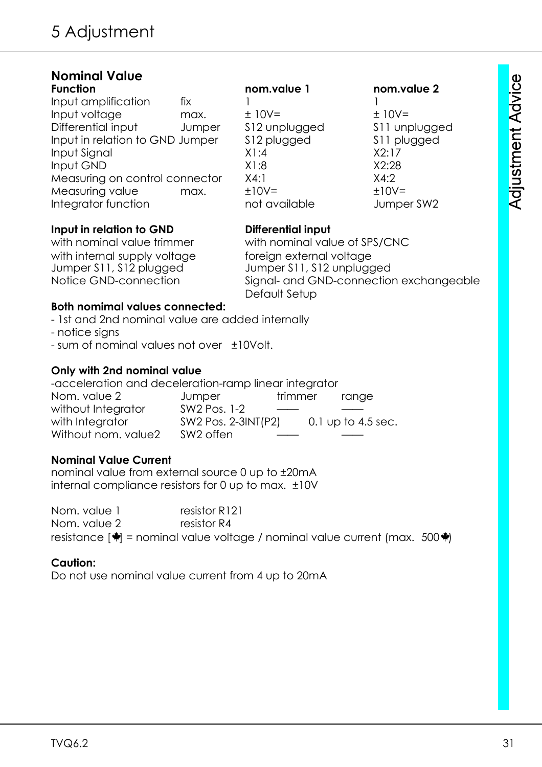| <b>Nominal Value</b>            |        |                |               |
|---------------------------------|--------|----------------|---------------|
| <b>Function</b>                 |        | nom.value 1    | nom.value 2   |
| Input amplification             | fix    |                |               |
| Input voltage                   | max.   | $± 10V=$       | $± 10V=$      |
| Differential input              | Jumper | \$12 unplugged | S11 unplugged |
| Input in relation to GND Jumper |        | \$12 plugged   | \$11 plugged  |
| Input Signal                    |        | X1:4           | X2:17         |
| Input GND                       |        | X1:8           | X2:28         |
| Measuring on control connector  |        | X4:1           | X4:2          |
| Measuring value                 | max.   | $±10V=$        | $±10V=$       |
| Integrator function             |        | not available  | Jumper SW2    |
|                                 |        |                |               |

#### **Input in relation to GND Differential input**

with internal supply voltage foreign external voltage<br>Jumper S11, S12 plugged Jumper S11, S12 unplugg

with nominal value trimmer with nominal value of SPS/CNC Jumper S11, S12 unplugged Notice GND-connection Signal- and GND-connection exchangeable Default Setup

#### **Both nomimal values connected:**

- 1st and 2nd nominal value are added internally

- notice signs

- sum of nominal values not over ±10Volt.

#### **Only with 2nd nominal value**

-acceleration and deceleration-ramp linear integrator Nom. value 2 decomposition of the trimmer trange without Integrator SW2 Pos. 1-2 with Integrator SW2 Pos. 2-3INT(P2) 0.1 up to 4.5 sec. Without nom. value? SW2 offen

#### **Nominal Value Current**

nominal value from external source 0 up to ±20mA internal compliance resistors for 0 up to max. ±10V

Nom. value 1 resistor R121 Nom. value 2 resistor R4 resistance  $|\dot{\mathbf{w}}|$  = nominal value voltage / nominal value current (max. 500 $\dot{\mathbf{w}}$ )

#### **Caution:**

Do not use nominal value current from 4 up to 20mA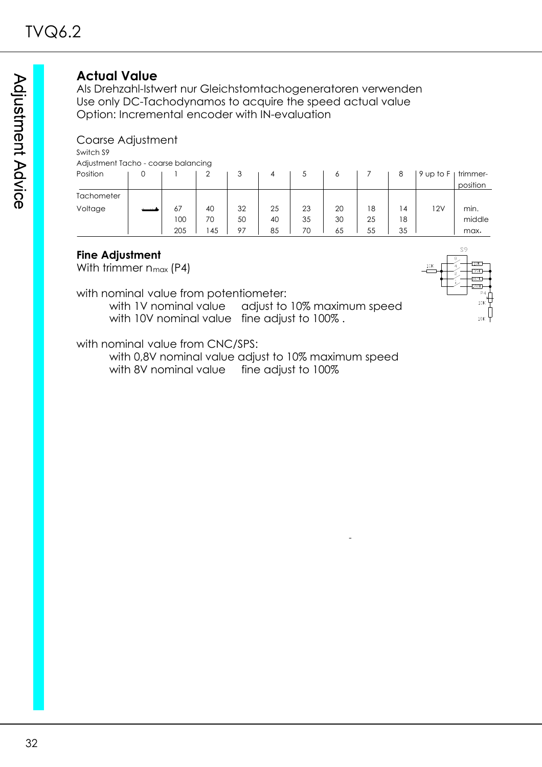# **Actual Value**

Als Drehzahl-Istwert nur Gleichstomtachogeneratoren verwenden Use only DC-Tachodynamos to acquire the speed actual value Option: Incremental encoder with IN-evaluation

#### Coarse Adjustment

Switch S9

Adjustment Tacho - coarse balancing

| Position   |     |    |    | 4  |    | Ô  |    | 8              | 9 up to F | trimmer- |
|------------|-----|----|----|----|----|----|----|----------------|-----------|----------|
|            |     |    |    |    |    |    |    |                |           | position |
| Tachometer |     |    |    |    |    |    |    |                |           |          |
| Voltage    | 67  | 40 | 32 | 25 | 23 | 20 | 18 | $\overline{4}$ | 12V       | min.     |
|            | 100 | 70 | 50 | 40 | 35 | 30 | 25 | 18             |           | middle   |
|            | 205 | 45 | 97 | 85 | 70 | 65 | 55 | 35             |           | max.     |

#### **Fine Adjustment**

With trimmer  $n_{max}$  (P4)

with nominal value from potentiometer:

with 1V nominal value adjust to 10% maximum speed with 10V nominal value fine adjust to 100%.



with 0,8V nominal value adjust to 10% maximum speed with 8V nominal value fine adjust to 100%

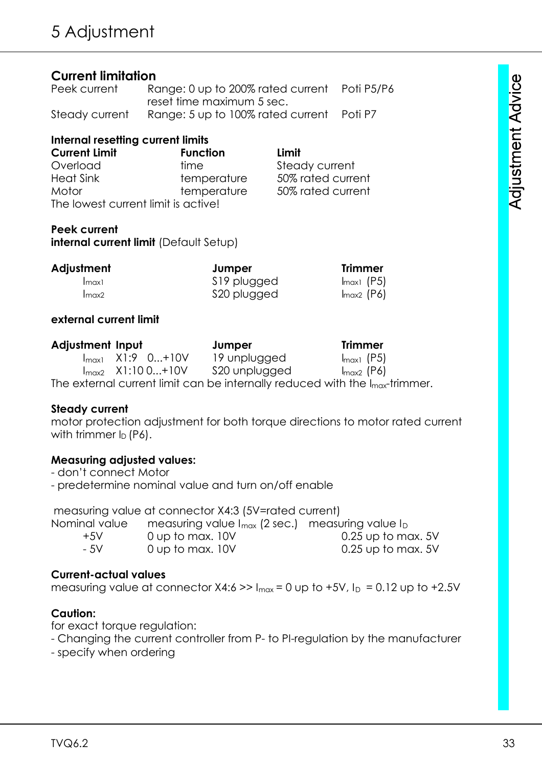# **Current limitation**

| Peek current   | Range: 0 up to 200% rated current Poti P5/P6 |  |
|----------------|----------------------------------------------|--|
|                | reset time maximum 5 sec.                    |  |
| Steady current | Range: 5 up to 100% rated current Poti P7    |  |

#### **Internal resetting current limits**

| <b>Current Limit</b>                | <b>Function</b> | Limit             |
|-------------------------------------|-----------------|-------------------|
| Overload                            | time            | Steady current    |
| <b>Heat Sink</b>                    | temperature     | 50% rated current |
| Motor                               | temperature     | 50% rated current |
| The lowest current limit is active! |                 |                   |

#### **Peek current**

**internal current limit** (Default Setup)

| Adjustment            | Jumper       | <b>Trimmer</b> |
|-----------------------|--------------|----------------|
| $\lfloor max \rfloor$ | S19 plugged  | $Imax1$ (P5)   |
| $Im\alpha x2$         | \$20 plugged | $Imax2$ (P6)   |

#### **external current limit**

| <b>Adjustment Input</b> |                               | Jumper                                                                                   | <b>Trimmer</b>         |
|-------------------------|-------------------------------|------------------------------------------------------------------------------------------|------------------------|
|                         | $I_{\text{max1}}$ X1:9 0+10V  | 19 unplugged                                                                             | $I_{\text{max1}}$ (P5) |
|                         | $I_{\text{max2}}$ X1:10 0+10V | S20 unplugged                                                                            | $I_{\text{max2}}$ (P6) |
|                         |                               | The external current limit can be internally reduced with the $I_{\text{max}}$ -trimmer. |                        |

#### **Steady current**

motor protection adjustment for both torque directions to motor rated current with trimmer  $I_D$  (P6).

### **Measuring adjusted values:**

- don't connect Motor
- predetermine nominal value and turn on/off enable

measuring value at connector X4:3 (5V=rated current)

| Nominal value | measuring value $I_{max}$ (2 sec.) measuring value $I_D$ |                    |
|---------------|----------------------------------------------------------|--------------------|
| $+5V$         | 0 up to max. 10V                                         | 0.25 up to max. 5V |
| - 5V          | 0 up to max. 10V                                         | 0.25 up to max. 5V |

### **Current-actual values**

measuring value at connector  $X4:6 \gg 1_{max} = 0$  up to +5V,  $I_D = 0.12$  up to +2.5V

### **Caution:**

for exact torque regulation:

- Changing the current controller from P- to PI-regulation by the manufacturer
- specify when ordering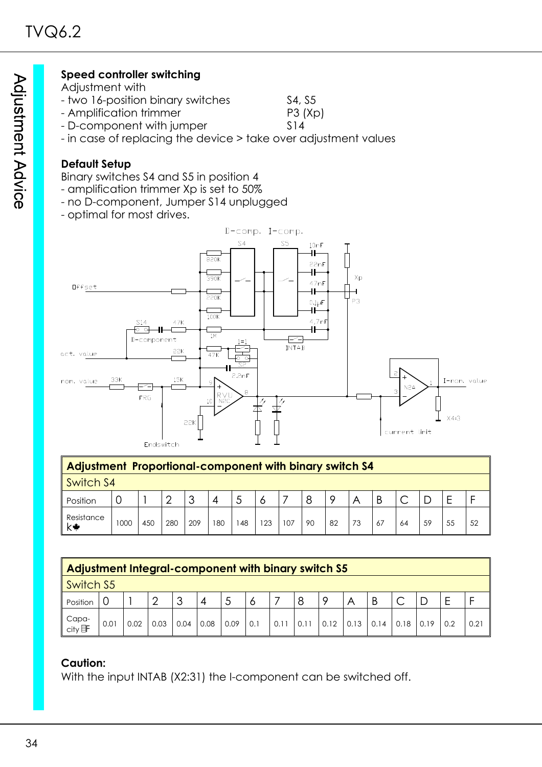### **Speed controller switching**

- Adjustment with
- two 16-position binary switches S4, S5
- Amplification trimmer P3 (Xp)
- D-component with jumper S14
- in case of replacing the device > take over adjustment values

#### **Default Setup**

Binary switches S4 and S5 in position 4

- amplification trimmer Xp is set to 50%
- no D-component, Jumper S14 unplugged
- optimal for most drives.



| Adjustment Proportional-component with binary switch S4 |      |     |     |                     |     |    |     |     |    |    |    |    |    |    |    |    |
|---------------------------------------------------------|------|-----|-----|---------------------|-----|----|-----|-----|----|----|----|----|----|----|----|----|
| Switch S4                                               |      |     |     |                     |     |    |     |     |    |    |    |    |    |    |    |    |
| Position                                                |      |     | ⌒   | ാ<br>$\overline{ }$ | 4   |    |     |     |    |    |    |    |    |    |    |    |
| Resistance<br>k₩                                        | 1000 | 450 | 280 | 209                 | 180 | 48 | 123 | 107 | 90 | 82 | 73 | 67 | 64 | 59 | 55 | 52 |

| Adjustment Integral-component with binary switch S5 |      |      |      |         |      |      |     |      |      |         |      |      |      |      |     |      |
|-----------------------------------------------------|------|------|------|---------|------|------|-----|------|------|---------|------|------|------|------|-----|------|
| Switch S5                                           |      |      |      |         |      |      |     |      |      |         |      |      |      |      |     |      |
| Position                                            |      |      |      | -2<br>J | 4    |      |     |      | 8    | $\circ$ | A    | B    |      |      |     |      |
| Capa-<br>city <b>哥</b>                              | 0.01 | 0.02 | 0.03 | 0.04    | 0.08 | 0.09 | 0.1 | 0.11 | 0.11 | 0.12    | 0.13 | 0.14 | 0.18 | 0.19 | 0.2 | 0.21 |

### **Caution:**

With the input INTAB (X2:31) the I-component can be switched off.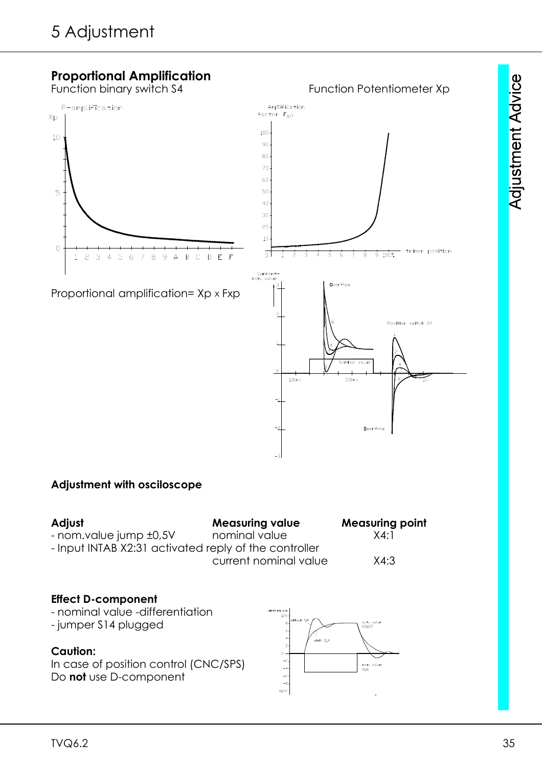

### **Adjustment with osciloscope**

| Adjust                                                | <b>Measuring value</b> | <b>Measuring point</b> |
|-------------------------------------------------------|------------------------|------------------------|
| - nom.value jump ±0,5V                                | nominal value          | X4:1                   |
| - Input INTAB X2:31 activated reply of the controller |                        |                        |
|                                                       | current nominal value  | X4:3                   |
|                                                       |                        |                        |

#### **Effect D-component**

- nominal value -differentiation - jumper S14 plugged ı<br>with S14 **Caution:** In case of position control (CNC/SPS) nom<br>Y1.6 Do **not** use D-component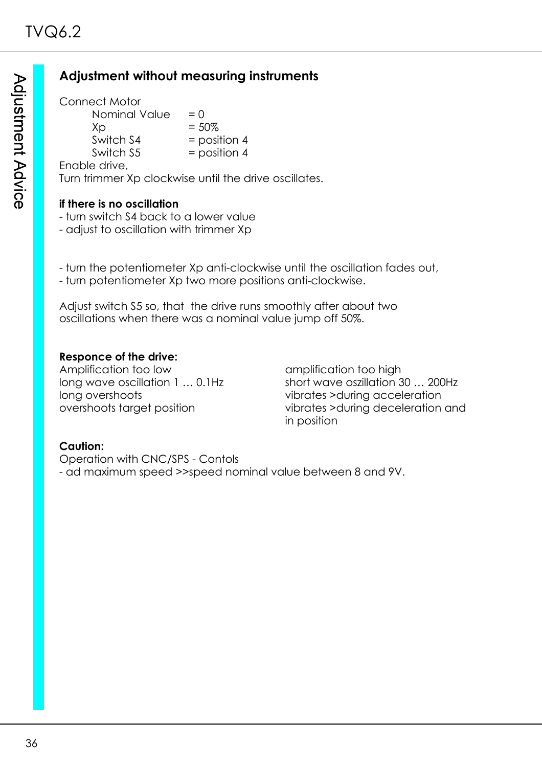# **Adjustment without measuring instruments**

Connect Motor Nominal Value  $= 0$  $Xp = 50\%$ Switch  $S4$  = position 4 Switch  $S5$  = position 4 Enable drive, Turn trimmer Xp clockwise until the drive oscillates.

#### **if there is no oscillation**

- turn switch S4 back to a lower value
- adjust to oscillation with trimmer Xp

- turn the potentiometer Xp anti-clockwise until the oscillation fades out, - turn potentiometer Xp two more positions anti-clockwise.

Adjust switch S5 so, that the drive runs smoothly after about two oscillations when there was a nominal value jump off 50%.

#### **Responce of the drive:**

Amplification too low amplification too high long overshoots vibrates >during acceleration

long wave oscillation 1 ... 0.1Hz short wave oszillation 30 ... 200Hz overshoots target position vibrates >during deceleration and in position

# **Caution:**

Operation with CNC/SPS - Contols - ad maximum speed >>speed nominal value between 8 and 9V.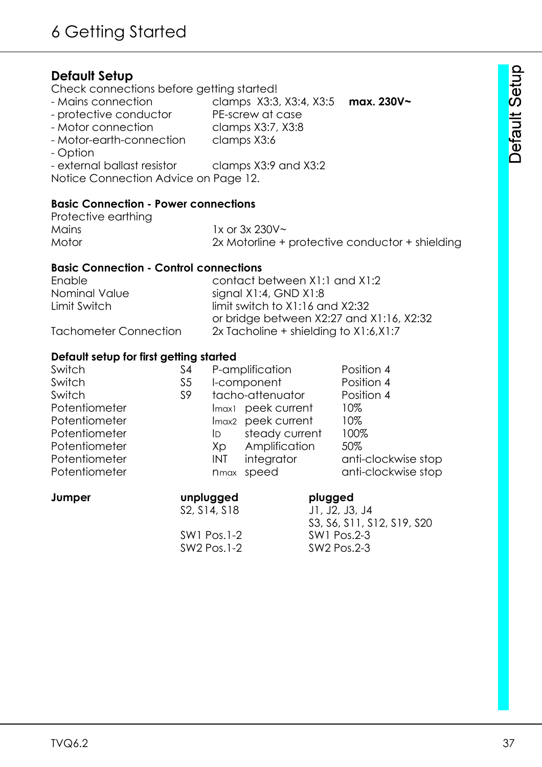# **Default Setup**

Check connections before getting started!

- Mains connection clamps X3:3, X3:4, X3:5 **max. 230V~**
- protective conductor PE-screw at case
- Motor connection clamps X3:7, X3:8
- Motor-earth-connection clamps X3:6
- Option
- external ballast resistor clamps X3:9 and X3:2
- Notice Connection Advice on Page 12.

#### **Basic Connection - Power connections**

| Protective earthing |                                                 |
|---------------------|-------------------------------------------------|
| Mains               | 1x or $3x 230V$ ~                               |
| Motor               | 2x Motorline + protective conductor + shielding |

#### **Basic Connection - Control connections**

| Enable                | contact between X1:1 and X1:2            |
|-----------------------|------------------------------------------|
| Nominal Value         | signal X1:4, GND X1:8                    |
| Limit Switch          | $limit$ switch to $X1:16$ and $X2:32$    |
|                       | or bridge between X2:27 and X1:16, X2:32 |
| Tachometer Connection | 2x Tacholine + shielding to $X1:6, X1:7$ |

#### **Default setup for first getting started**

| Switch        | S4             |              | P-amplification                | Position 4          |
|---------------|----------------|--------------|--------------------------------|---------------------|
| Switch        | S <sub>5</sub> |              | I-component                    | Position 4          |
| Switch        | S9             |              | tacho-attenuator               | Position 4          |
| Potentiometer |                |              | Imax <sub>1</sub> peek current | 10%                 |
| Potentiometer |                |              | Imax <sub>2</sub> peek current | 10%                 |
| Potentiometer |                | ID.          | steady current                 | 100%                |
| Potentiometer |                | Xp           | Amplification                  | 50%                 |
| Potentiometer |                | INT          | integrator                     | anti-clockwise stop |
| Potentiometer |                | <b>n</b> max | speed                          | anti-clockwise stop |
|               |                |              |                                |                     |

| unplugged                                          | plugged                    |
|----------------------------------------------------|----------------------------|
| S <sub>2</sub> , S <sub>14</sub> , S <sub>18</sub> | J1, J2, J3, J4             |
|                                                    | S3, S6, S11, S12, S19, S20 |
| $SW1$ Pos. $1-2$                                   | SW1 Pos.2-3                |
| SW2 Pos.1-2                                        | SW2 Pos.2-3                |
|                                                    |                            |